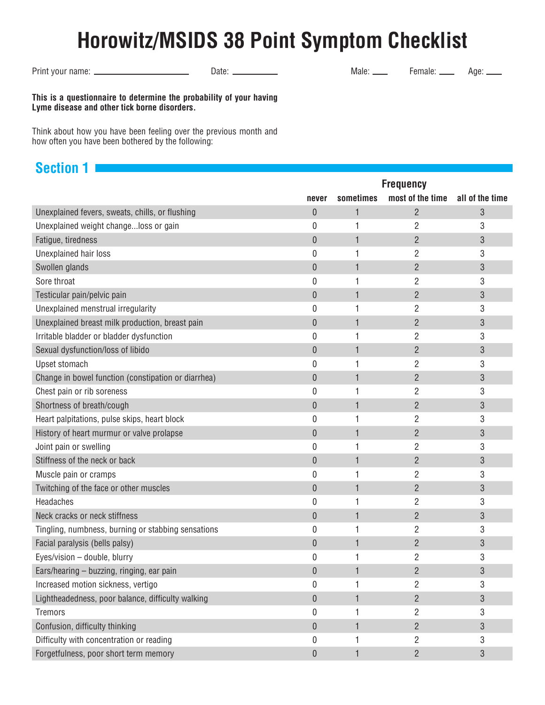# **Horowitz/MSIDS 38 Point Symptom Checklist**

Print your name: Date: Male: Female: Age:

**This is a questionnaire to determine the probability of your having Lyme disease and other tick borne disorders.**

Think about how you have been feeling over the previous month and how often you have been bothered by the following:

## **Section 1**

|                                                     | <b>Frequency</b> |              |                  |                 |
|-----------------------------------------------------|------------------|--------------|------------------|-----------------|
|                                                     | never            | sometimes    | most of the time | all of the time |
| Unexplained fevers, sweats, chills, or flushing     | 0                | 1            | $\overline{2}$   | 3               |
| Unexplained weight changeloss or gain               | 0                | 1            | $\overline{2}$   | 3               |
| Fatigue, tiredness                                  | $\mathbf{0}$     | 1            | $\overline{2}$   | 3               |
| Unexplained hair loss                               | 0                | 1            | $\overline{2}$   | 3               |
| Swollen glands                                      | 0                | $\mathbf{1}$ | $\overline{2}$   | 3               |
| Sore throat                                         | 0                | 1            | $\overline{2}$   | 3               |
| Testicular pain/pelvic pain                         | 0                | $\mathbf{1}$ | $\overline{2}$   | 3               |
| Unexplained menstrual irregularity                  | 0                | 1            | $\overline{2}$   | 3               |
| Unexplained breast milk production, breast pain     | 0                | 1            | $\overline{2}$   | 3               |
| Irritable bladder or bladder dysfunction            | 0                | 1            | $\overline{2}$   | 3               |
| Sexual dysfunction/loss of libido                   | $\mathbf 0$      | 1            | $\overline{2}$   | 3               |
| Upset stomach                                       | 0                | 1            | $\overline{2}$   | 3               |
| Change in bowel function (constipation or diarrhea) | 0                | 1            | $\overline{2}$   | 3               |
| Chest pain or rib soreness                          | 0                | 1            | $\overline{2}$   | 3               |
| Shortness of breath/cough                           | $\mathbf{0}$     | 1            | $\overline{2}$   | 3               |
| Heart palpitations, pulse skips, heart block        | 0                | 1            | $\overline{2}$   | 3               |
| History of heart murmur or valve prolapse           | 0                | 1            | $\overline{2}$   | 3               |
| Joint pain or swelling                              | 0                | 1            | $\overline{2}$   | 3               |
| Stiffness of the neck or back                       | 0                | 1            | $\overline{2}$   | 3               |
| Muscle pain or cramps                               | 0                | 1            | $\overline{2}$   | 3               |
| Twitching of the face or other muscles              | 0                | 1            | $\overline{2}$   | 3               |
| Headaches                                           | 0                | 1            | $\overline{2}$   | 3               |
| Neck cracks or neck stiffness                       | 0                | 1            | $\overline{2}$   | 3               |
| Tingling, numbness, burning or stabbing sensations  | 0                | 1            | $\overline{2}$   | 3               |
| Facial paralysis (bells palsy)                      | 0                | 1            | $\overline{2}$   | 3               |
| Eyes/vision - double, blurry                        | 0                | 1            | $\overline{c}$   | 3               |
| Ears/hearing - buzzing, ringing, ear pain           | 0                | 1            | $\overline{2}$   | 3               |
| Increased motion sickness, vertigo                  | 0                | 1            | $\overline{2}$   | 3               |
| Lightheadedness, poor balance, difficulty walking   | 0                | 1            | $\overline{2}$   | 3               |
| <b>Tremors</b>                                      | 0                | 1            | 2                | 3               |
| Confusion, difficulty thinking                      | 0                | 1            | $\overline{2}$   | 3               |
| Difficulty with concentration or reading            | 0                | 1            | $\overline{2}$   | 3               |
| Forgetfulness, poor short term memory               | 0                | 1            | $\overline{2}$   | 3               |